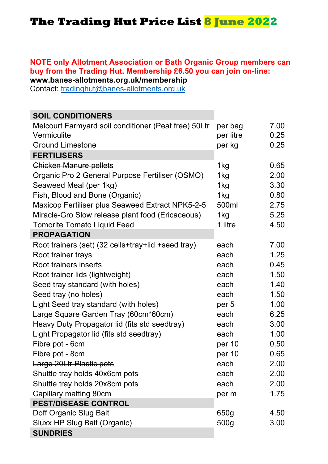## **The Trading Hut Price List 8 June 2022**

## **NOTE only Allotment Association or Bath Organic Group members can buy from the Trading Hut. Membership £6.50 you can join on-line: www.banes-allotments.org.uk/membership**

Contact: tradinghut@banes-allotments.org.uk

| <b>SOIL CONDITIONERS</b>                                |           |      |
|---------------------------------------------------------|-----------|------|
| Melcourt Farmyard soil conditioner (Peat free) 50Ltr    | per bag   | 7.00 |
| Vermiculite                                             | per litre | 0.25 |
| <b>Ground Limestone</b>                                 | per kg    | 0.25 |
| <b>FERTILISERS</b>                                      |           |      |
| <b>Chicken Manure pellets</b>                           | 1kg       | 0.65 |
| Organic Pro 2 General Purpose Fertiliser (OSMO)         | 1kg       | 2.00 |
| Seaweed Meal (per 1kg)                                  | 1kg       | 3.30 |
| Fish, Blood and Bone (Organic)                          | 1kg       | 0.80 |
| <b>Maxicop Fertiliser plus Seaweed Extract NPK5-2-5</b> | 500ml     | 2.75 |
| Miracle-Gro Slow release plant food (Ericaceous)        | 1kg       | 5.25 |
| <b>Tomorite Tomato Liquid Feed</b>                      | 1 litre   | 4.50 |
| <b>PROPAGATION</b>                                      |           |      |
| Root trainers (set) (32 cells+tray+lid +seed tray)      | each      | 7.00 |
| Root trainer trays                                      | each      | 1.25 |
| Root trainers inserts                                   | each      | 0.45 |
| Root trainer lids (lightweight)                         | each      | 1.50 |
| Seed tray standard (with holes)                         | each      | 1.40 |
| Seed tray (no holes)                                    | each      | 1.50 |
| Light Seed tray standard (with holes)                   | per 5     | 1.00 |
| Large Square Garden Tray (60cm*60cm)                    | each      | 6.25 |
| Heavy Duty Propagator lid (fits std seedtray)           | each      | 3.00 |
| Light Propagator lid (fits std seedtray)                | each      | 1.00 |
| Fibre pot - 6cm                                         | per 10    | 0.50 |
| Fibre pot - 8cm                                         | per 10    | 0.65 |
| Large 20Ltr Plastic pots                                | each      | 2.00 |
| Shuttle tray holds 40x6cm pots                          | each      | 2.00 |
| Shuttle tray holds 20x8cm pots                          | each      | 2.00 |
| Capillary matting 80cm                                  | per m     | 1.75 |
| <b>PEST/DISEASE CONTROL</b>                             |           |      |
| Doff Organic Slug Bait                                  | 650g      | 4.50 |
| Sluxx HP Slug Bait (Organic)                            | 500g      | 3.00 |
| <b>SUNDRIES</b>                                         |           |      |